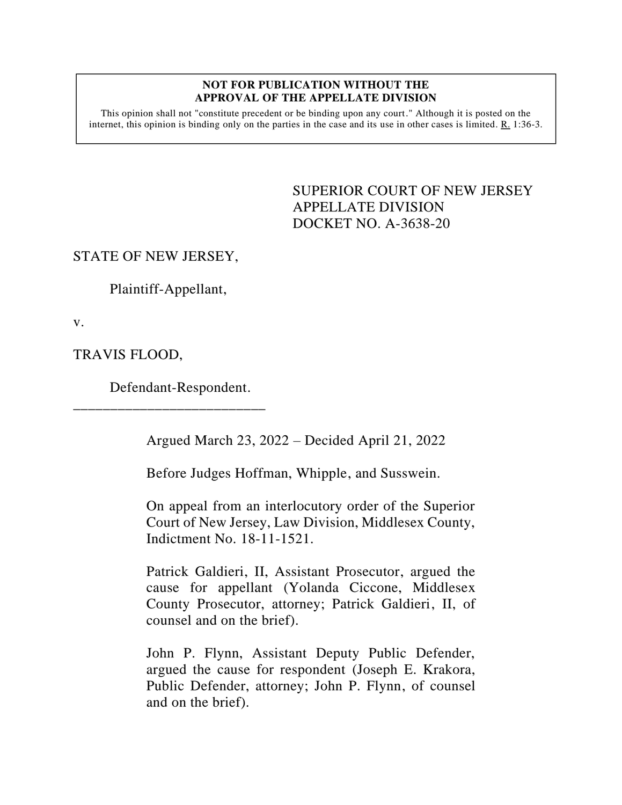#### **NOT FOR PUBLICATION WITHOUT THE APPROVAL OF THE APPELLATE DIVISION**

This opinion shall not "constitute precedent or be binding upon any court." Although it is posted on the internet, this opinion is binding only on the parties in the case and its use in other cases is limited.  $R_1$  1:36-3.

> <span id="page-0-0"></span>SUPERIOR COURT OF NEW JERSEY APPELLATE DIVISION DOCKET NO. A-3638-20

STATE OF NEW JERSEY,

Plaintiff-Appellant,

v.

TRAVIS FLOOD,

Defendant-Respondent.

\_\_\_\_\_\_\_\_\_\_\_\_\_\_\_\_\_\_\_\_\_\_\_\_\_\_

Argued March 23, 2022 – Decided April 21, 2022

Before Judges Hoffman, Whipple, and Susswein.

On appeal from an interlocutory order of the Superior Court of New Jersey, Law Division, Middlesex County, Indictment No. 18-11-1521.

Patrick Galdieri, II, Assistant Prosecutor, argued the cause for appellant (Yolanda Ciccone, Middlesex County Prosecutor, attorney; Patrick Galdieri, II, of counsel and on the brief).

John P. Flynn, Assistant Deputy Public Defender, argued the cause for respondent (Joseph E. Krakora, Public Defender, attorney; John P. Flynn, of counsel and on the brief).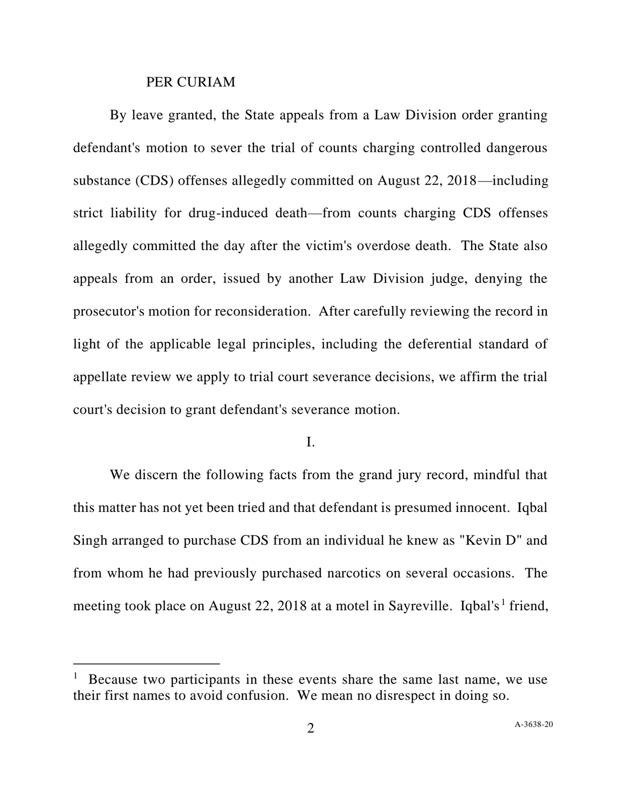#### PER CURIAM

By leave granted, the State appeals from a Law Division order granting defendant's motion to sever the trial of counts charging controlled dangerous substance (CDS) offenses allegedly committed on August 22, 2018—including strict liability for drug-induced death—from counts charging CDS offenses allegedly committed the day after the victim's overdose death. The State also appeals from an order, issued by another Law Division judge, denying the prosecutor's motion for reconsideration. After carefully reviewing the record in light of the applicable legal principles, including the deferential standard of appellate review we apply to trial court severance decisions, we affirm the trial court's decision to grant defendant's severance motion.

## I.

We discern the following facts from the grand jury record, mindful that this matter has not yet been tried and that defendant is presumed innocent. Iqbal Singh arranged to purchase CDS from an individual he knew as "Kevin D" and from whom he had previously purchased narcotics on several occasions. The meeting took place on August 22, 2018 at a motel in Sayreville. Iqbal's<sup>1</sup> friend,

<sup>&</sup>lt;sup>1</sup> Because two participants in these events share the same last name, we use their first names to avoid confusion. We mean no disrespect in doing so.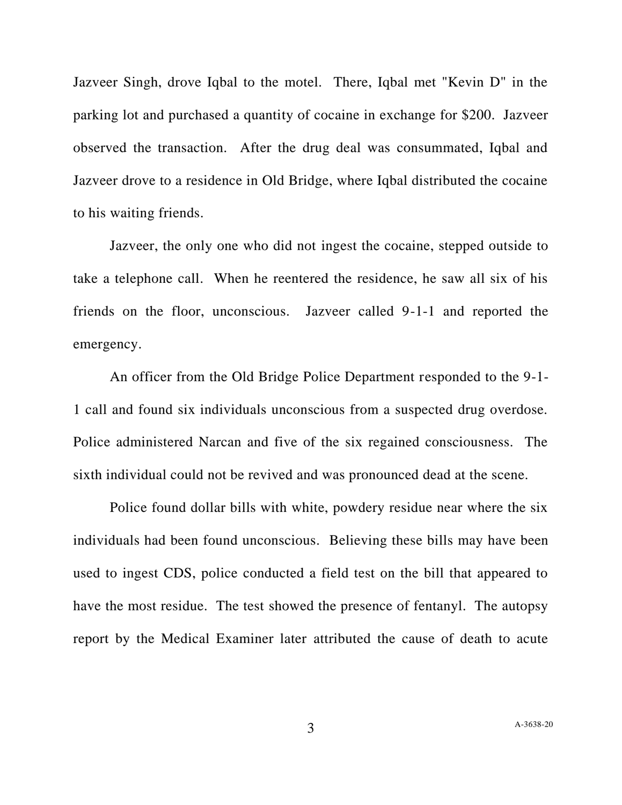Jazveer Singh, drove Iqbal to the motel. There, Iqbal met "Kevin D" in the parking lot and purchased a quantity of cocaine in exchange for \$200. Jazveer observed the transaction. After the drug deal was consummated, Iqbal and Jazveer drove to a residence in Old Bridge, where Iqbal distributed the cocaine to his waiting friends.

Jazveer, the only one who did not ingest the cocaine, stepped outside to take a telephone call. When he reentered the residence, he saw all six of his friends on the floor, unconscious. Jazveer called 9-1-1 and reported the emergency.

An officer from the Old Bridge Police Department responded to the 9-1- 1 call and found six individuals unconscious from a suspected drug overdose. Police administered Narcan and five of the six regained consciousness. The sixth individual could not be revived and was pronounced dead at the scene.

Police found dollar bills with white, powdery residue near where the six individuals had been found unconscious. Believing these bills may have been used to ingest CDS, police conducted a field test on the bill that appeared to have the most residue. The test showed the presence of fentanyl. The autopsy report by the Medical Examiner later attributed the cause of death to acute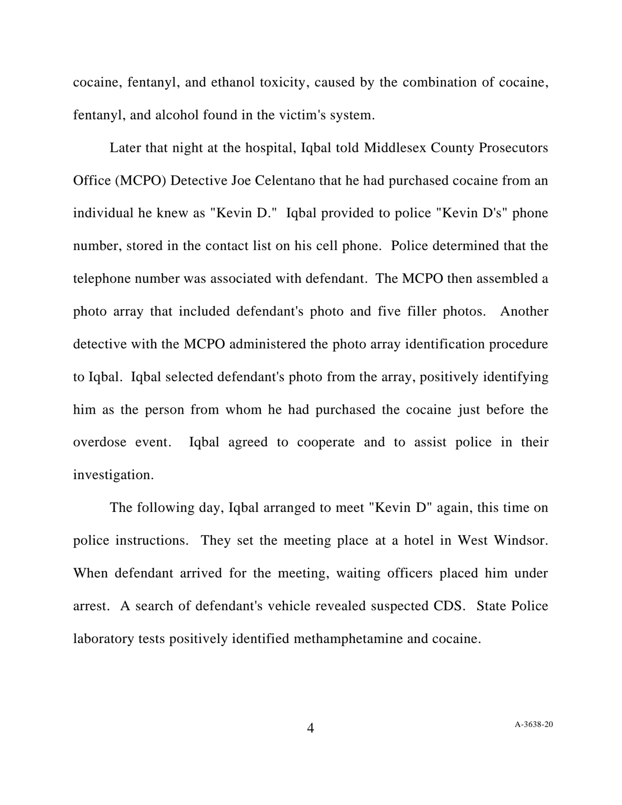cocaine, fentanyl, and ethanol toxicity, caused by the combination of cocaine, fentanyl, and alcohol found in the victim's system.

Later that night at the hospital, Iqbal told Middlesex County Prosecutors Office (MCPO) Detective Joe Celentano that he had purchased cocaine from an individual he knew as "Kevin D." Iqbal provided to police "Kevin D's" phone number, stored in the contact list on his cell phone. Police determined that the telephone number was associated with defendant. The MCPO then assembled a photo array that included defendant's photo and five filler photos. Another detective with the MCPO administered the photo array identification procedure to Iqbal. Iqbal selected defendant's photo from the array, positively identifying him as the person from whom he had purchased the cocaine just before the overdose event. Iqbal agreed to cooperate and to assist police in their investigation.

The following day, Iqbal arranged to meet "Kevin D" again, this time on police instructions. They set the meeting place at a hotel in West Windsor. When defendant arrived for the meeting, waiting officers placed him under arrest. A search of defendant's vehicle revealed suspected CDS. State Police laboratory tests positively identified methamphetamine and cocaine.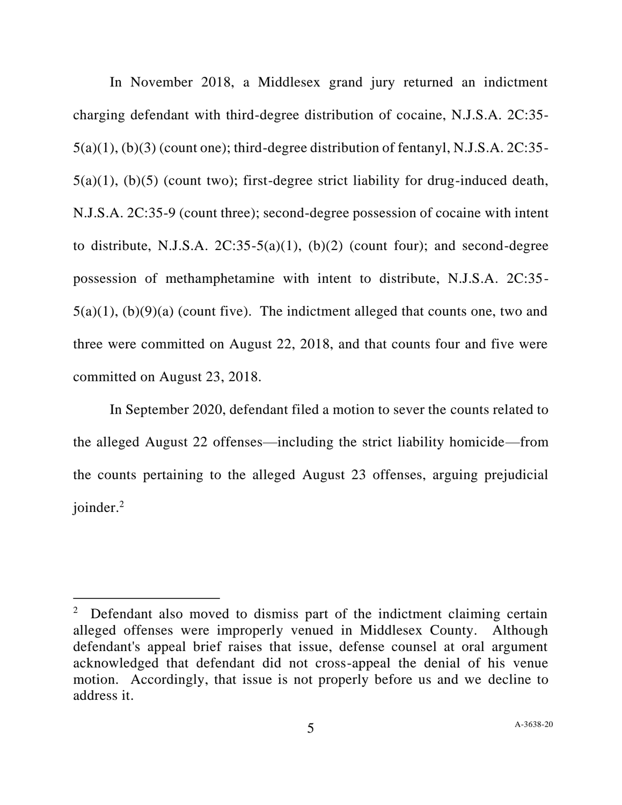In November 2018, a Middlesex grand jury returned an indictment charging defendant with third-degree distribution of cocaine, N.J.S.A. 2C:35- 5(a)(1), (b)(3) (count one); third-degree distribution of fentanyl, N.J.S.A. 2C:35- 5(a)(1), (b)(5) (count two); first-degree strict liability for drug-induced death, N.J.S.A. 2C:35-9 (count three); second-degree possession of cocaine with intent to distribute, N.J.S.A.  $2C:35-5(a)(1)$ , (b)(2) (count four); and second-degree possession of methamphetamine with intent to distribute, N.J.S.A. 2C:35-  $5(a)(1)$ ,  $(b)(9)(a)$  (count five). The indictment alleged that counts one, two and three were committed on August 22, 2018, and that counts four and five were committed on August 23, 2018.

In September 2020, defendant filed a motion to sever the counts related to the alleged August 22 offenses—including the strict liability homicide—from the counts pertaining to the alleged August 23 offenses, arguing prejudicial joinder.<sup>2</sup>

 $2$  Defendant also moved to dismiss part of the indictment claiming certain alleged offenses were improperly venued in Middlesex County. Although defendant's appeal brief raises that issue, defense counsel at oral argument acknowledged that defendant did not cross-appeal the denial of his venue motion. Accordingly, that issue is not properly before us and we decline to address it.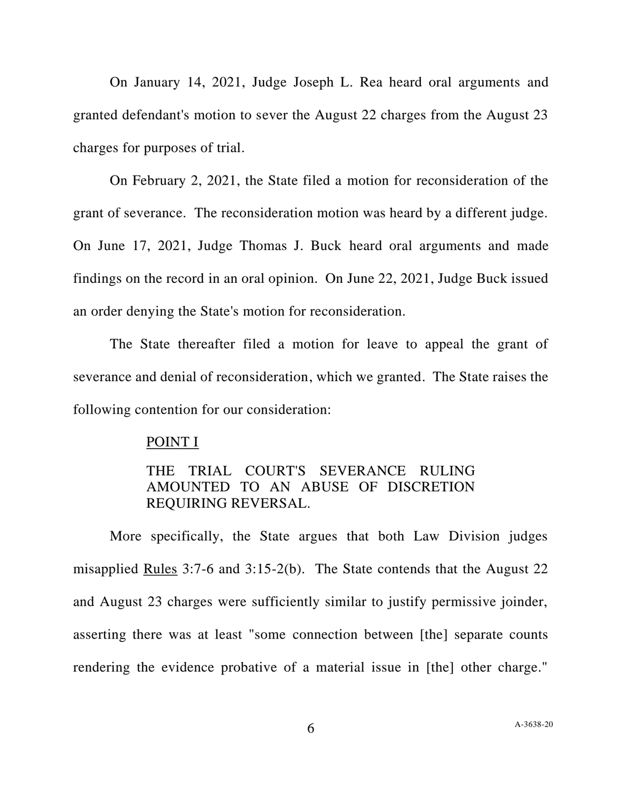On January 14, 2021, Judge Joseph L. Rea heard oral arguments and granted defendant's motion to sever the August 22 charges from the August 23 charges for purposes of trial.

On February 2, 2021, the State filed a motion for reconsideration of the grant of severance. The reconsideration motion was heard by a different judge. On June 17, 2021, Judge Thomas J. Buck heard oral arguments and made findings on the record in an oral opinion. On June 22, 2021, Judge Buck issued an order denying the State's motion for reconsideration.

The State thereafter filed a motion for leave to appeal the grant of severance and denial of reconsideration, which we granted. The State raises the following contention for our consideration:

## POINT I

# THE TRIAL COURT'S SEVERANCE RULING AMOUNTED TO AN ABUSE OF DISCRETION REQUIRING REVERSAL.

More specifically, the State argues that both Law Division judges misapplied Rules 3:7-6 and 3:15-2(b). The State contends that the August 22 and August 23 charges were sufficiently similar to justify permissive joinder, asserting there was at least "some connection between [the] separate counts rendering the evidence probative of a material issue in [the] other charge."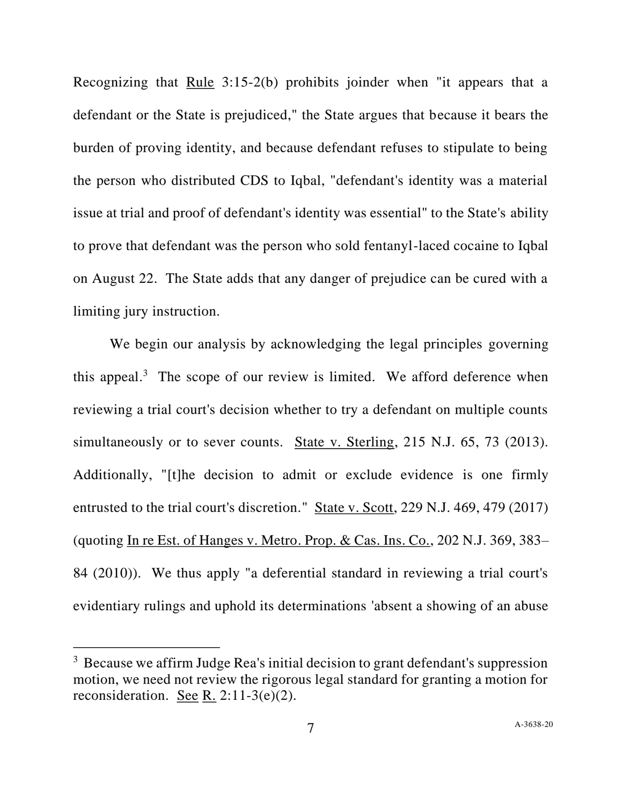Recognizing that Rule 3:15-2(b) prohibits joinder when "it appears that a defendant or the State is prejudiced," the State argues that because it bears the burden of proving identity, and because defendant refuses to stipulate to being the person who distributed CDS to Iqbal, "defendant's identity was a material issue at trial and proof of defendant's identity was essential" to the State's ability to prove that defendant was the person who sold fentanyl-laced cocaine to Iqbal on August 22. The State adds that any danger of prejudice can be cured with a limiting jury instruction.

We begin our analysis by acknowledging the legal principles governing this appeal.<sup>3</sup> The scope of our review is limited. We afford deference when reviewing a trial court's decision whether to try a defendant on multiple counts simultaneously or to sever counts. State v. Sterling, 215 N.J. 65, 73 (2013). Additionally, "[t]he decision to admit or exclude evidence is one firmly entrusted to the trial court's discretion." State v. Scott, 229 N.J. 469, 479 (2017) (quoting In re Est. of Hanges v. Metro. Prop. & Cas. Ins. Co., 202 N.J. 369, 383– 84 (2010)). We thus apply "a deferential standard in reviewing a trial court's evidentiary rulings and uphold its determinations 'absent a showing of an abuse

 $3$  Because we affirm Judge Rea's initial decision to grant defendant's suppression motion, we need not review the rigorous legal standard for granting a motion for reconsideration. See R. 2:11-3(e)(2).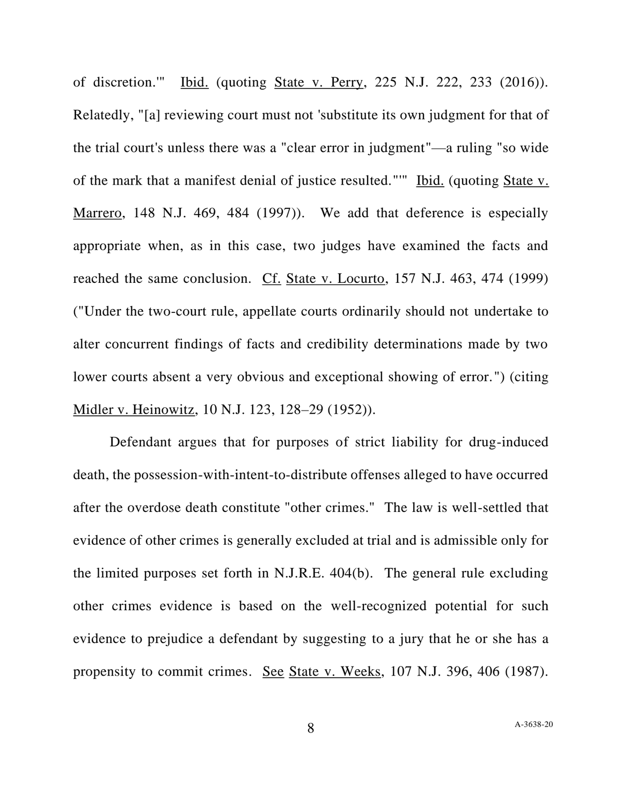of discretion.'" Ibid. (quoting State v. Perry, 225 N.J. 222, 233 (2016)). Relatedly, "[a] reviewing court must not 'substitute its own judgment for that of the trial court's unless there was a "clear error in judgment"—a ruling "so wide of the mark that a manifest denial of justice resulted."" Ibid. (quoting State v. Marrero, 148 N.J. 469, 484 (1997)). We add that deference is especially appropriate when, as in this case, two judges have examined the facts and reached the same conclusion. Cf. State v. Locurto, 157 N.J. 463, 474 (1999) ("Under the two-court rule, appellate courts ordinarily should not undertake to alter concurrent findings of facts and credibility determinations made by two lower courts absent a very obvious and exceptional showing of error.") (citing Midler v. Heinowitz, 10 N.J. 123, 128–29 (1952)).

Defendant argues that for purposes of strict liability for drug-induced death, the possession-with-intent-to-distribute offenses alleged to have occurred after the overdose death constitute "other crimes." The law is well-settled that evidence of other crimes is generally excluded at trial and is admissible only for the limited purposes set forth in N.J.R.E. 404(b). The general rule excluding other crimes evidence is based on the well-recognized potential for such evidence to prejudice a defendant by suggesting to a jury that he or she has a propensity to commit crimes. See State v. Weeks, 107 N.J. 396, 406 (1987).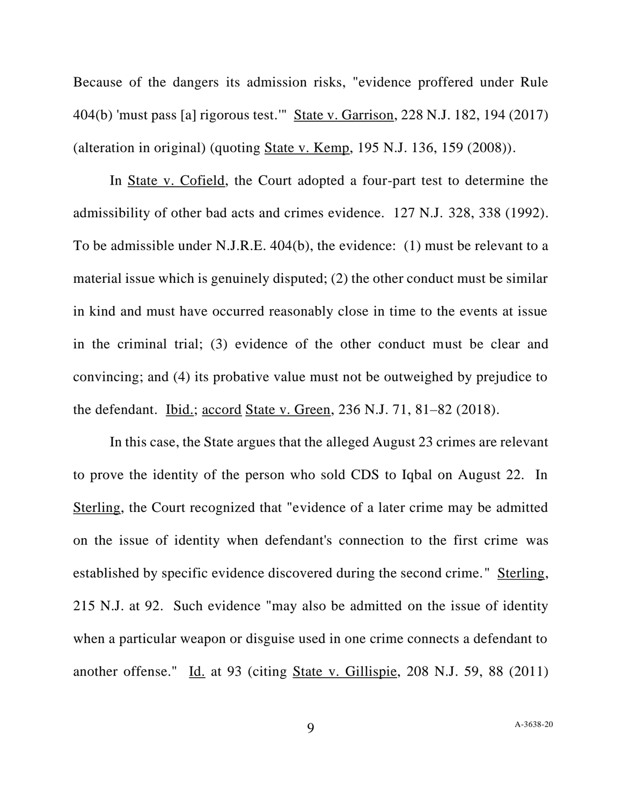Because of the dangers its admission risks, "evidence proffered under Rule 404(b) 'must pass [a] rigorous test.'" State v. Garrison, 228 N.J. 182, 194 (2017) (alteration in original) (quoting State v. Kemp, 195 N.J. 136, 159 (2008)).

In State v. Cofield, the Court adopted a four-part test to determine the admissibility of other bad acts and crimes evidence. 127 N.J. 328, 338 (1992). To be admissible under N.J.R.E. 404(b), the evidence: (1) must be relevant to a material issue which is genuinely disputed; (2) the other conduct must be similar in kind and must have occurred reasonably close in time to the events at issue in the criminal trial; (3) evidence of the other conduct must be clear and convincing; and (4) its probative value must not be outweighed by prejudice to the defendant. Ibid.; accord State v. Green, 236 N.J. 71, 81–82 (2018).

In this case, the State argues that the alleged August 23 crimes are relevant to prove the identity of the person who sold CDS to Iqbal on August 22. In Sterling, the Court recognized that "evidence of a later crime may be admitted on the issue of identity when defendant's connection to the first crime was established by specific evidence discovered during the second crime." Sterling, 215 N.J. at 92. Such evidence "may also be admitted on the issue of identity when a particular weapon or disguise used in one crime connects a defendant to another offense." Id. at 93 (citing State v. Gillispie, 208 N.J. 59, 88 (2011)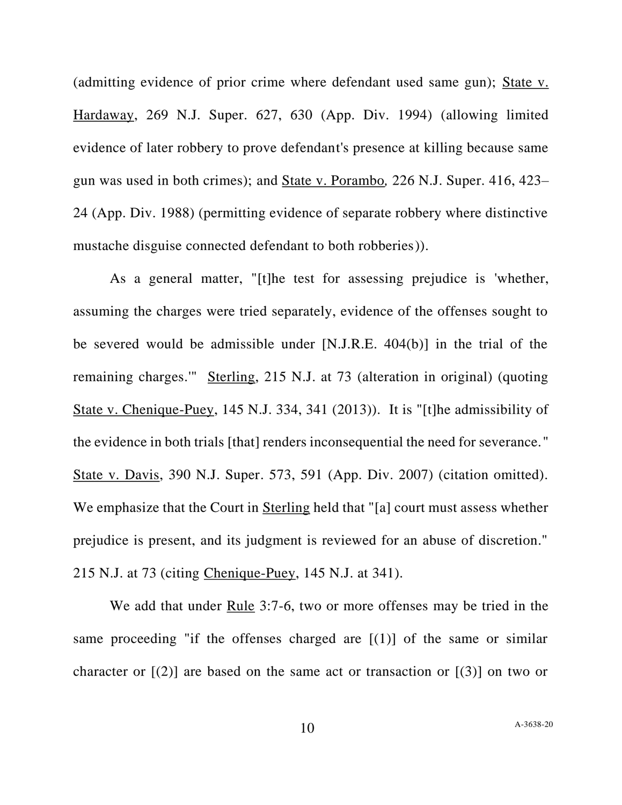(admitting evidence of prior crime where defendant used same gun); State v. Hardaway, 269 N.J. Super. 627, 630 (App. Div. 1994) (allowing limited evidence of later robbery to prove defendant's presence at killing because same gun was used in both crimes); and State v. Porambo*,* 226 N.J. Super. 416, 423– 24 (App. Div. 1988) (permitting evidence of separate robbery where distinctive mustache disguise connected defendant to both robberies)).

As a general matter, "[t]he test for assessing prejudice is 'whether, assuming the charges were tried separately, evidence of the offenses sought to be severed would be admissible under [N.J.R.E. 404(b)] in the trial of the remaining charges.'" Sterling, 215 N.J. at 73 (alteration in original) (quoting State v. Chenique-Puey, 145 N.J. 334, 341 (2013)). It is "[t]he admissibility of the evidence in both trials [that] renders inconsequential the need for severance." State v. Davis, 390 N.J. Super. 573, 591 (App. Div. 2007) (citation omitted). We emphasize that the Court in Sterling held that "[a] court must assess whether prejudice is present, and its judgment is reviewed for an abuse of discretion." 215 N.J. at 73 (citing Chenique-Puey, 145 N.J. at 341).

We add that under Rule 3:7-6, two or more offenses may be tried in the same proceeding "if the offenses charged are  $[(1)]$  of the same or similar character or  $[(2)]$  are based on the same act or transaction or  $[(3)]$  on two or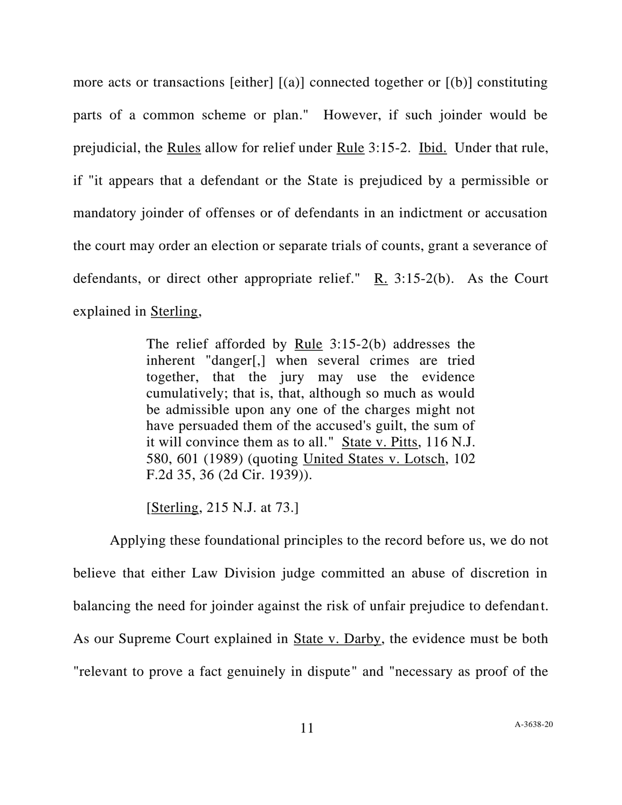more acts or transactions [either]  $[(a)]$  connected together or  $[(b)]$  constituting parts of a common scheme or plan." However, if such joinder would be prejudicial, the Rules allow for relief under Rule 3:15-2. Ibid. Under that rule, if "it appears that a defendant or the State is prejudiced by a permissible or mandatory joinder of offenses or of defendants in an indictment or accusation the court may order an election or separate trials of counts, grant a severance of defendants, or direct other appropriate relief." R. 3:15-2(b). As the Court explained in Sterling,

> The relief afforded by Rule 3:15-2(b) addresses the inherent "danger[,] when several crimes are tried together, that the jury may use the evidence cumulatively; that is, that, although so much as would be admissible upon any one of the charges might not have persuaded them of the accused's guilt, the sum of it will convince them as to all." State v. Pitts, 116 N.J. 580, 601 (1989) (quoting United States v. Lotsch, 102 F.2d 35, 36 (2d Cir. 1939)).

[Sterling, 215 N.J. at 73.]

Applying these foundational principles to the record before us, we do not believe that either Law Division judge committed an abuse of discretion in balancing the need for joinder against the risk of unfair prejudice to defendant. As our Supreme Court explained in State v. Darby, the evidence must be both "relevant to prove a fact genuinely in dispute" and "necessary as proof of the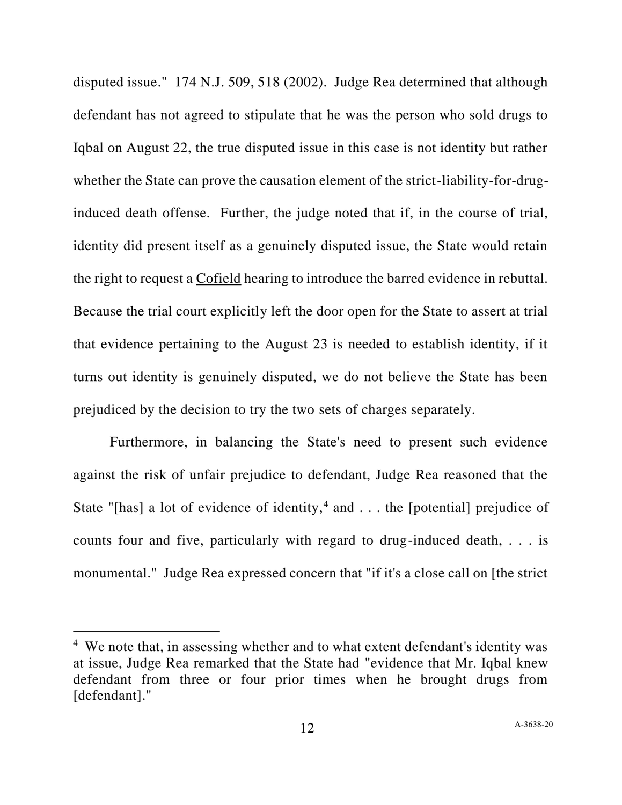disputed issue." 174 N.J. 509, 518 (2002). Judge Rea determined that although defendant has not agreed to stipulate that he was the person who sold drugs to Iqbal on August 22, the true disputed issue in this case is not identity but rather whether the State can prove the causation element of the strict-liability-for-druginduced death offense. Further, the judge noted that if, in the course of trial, identity did present itself as a genuinely disputed issue, the State would retain the right to request a Cofield hearing to introduce the barred evidence in rebuttal. Because the trial court explicitly left the door open for the State to assert at trial that evidence pertaining to the August 23 is needed to establish identity, if it turns out identity is genuinely disputed, we do not believe the State has been prejudiced by the decision to try the two sets of charges separately.

Furthermore, in balancing the State's need to present such evidence against the risk of unfair prejudice to defendant, Judge Rea reasoned that the State "[has] a lot of evidence of identity,<sup>4</sup> and  $\dots$  the [potential] prejudice of counts four and five, particularly with regard to drug-induced death, . . . is monumental." Judge Rea expressed concern that "if it's a close call on [the strict

<sup>&</sup>lt;sup>4</sup> We note that, in assessing whether and to what extent defendant's identity was at issue, Judge Rea remarked that the State had "evidence that Mr. Iqbal knew defendant from three or four prior times when he brought drugs from [defendant]."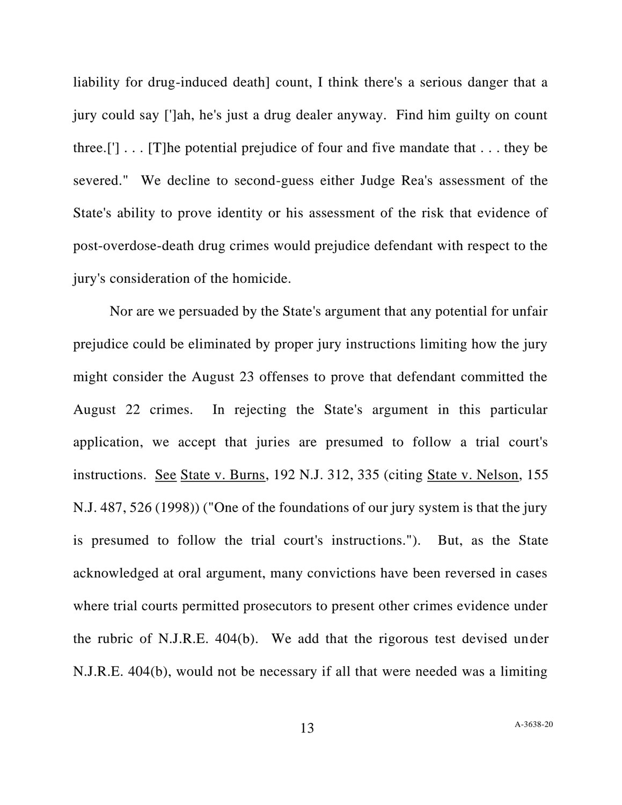liability for drug-induced death] count, I think there's a serious danger that a jury could say [']ah, he's just a drug dealer anyway. Find him guilty on count three.['] . . . [T]he potential prejudice of four and five mandate that . . . they be severed." We decline to second-guess either Judge Rea's assessment of the State's ability to prove identity or his assessment of the risk that evidence of post-overdose-death drug crimes would prejudice defendant with respect to the jury's consideration of the homicide.

Nor are we persuaded by the State's argument that any potential for unfair prejudice could be eliminated by proper jury instructions limiting how the jury might consider the August 23 offenses to prove that defendant committed the August 22 crimes. In rejecting the State's argument in this particular application, we accept that juries are presumed to follow a trial court's instructions. See State v. Burns, 192 N.J. 312, 335 (citing State v. Nelson, 155 N.J. 487, 526 (1998)) ("One of the foundations of our jury system is that the jury is presumed to follow the trial court's instructions."). But, as the State acknowledged at oral argument, many convictions have been reversed in cases where trial courts permitted prosecutors to present other crimes evidence under the rubric of N.J.R.E. 404(b). We add that the rigorous test devised under N.J.R.E. 404(b), would not be necessary if all that were needed was a limiting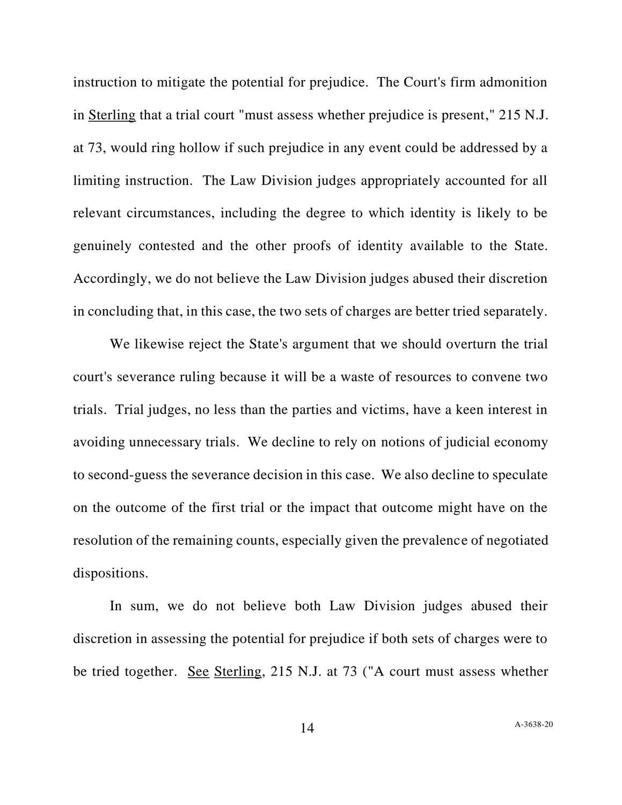instruction to mitigate the potential for prejudice. The Court's firm admonition in Sterling that a trial court "must assess whether prejudice is present," 215 N.J. at 73, would ring hollow if such prejudice in any event could be addressed by a limiting instruction. The Law Division judges appropriately accounted for all relevant circumstances, including the degree to which identity is likely to be genuinely contested and the other proofs of identity available to the State. Accordingly, we do not believe the Law Division judges abused their discretion in concluding that, in this case, the two sets of charges are better tried separately.

We likewise reject the State's argument that we should overturn the trial court's severance ruling because it will be a waste of resources to convene two trials. Trial judges, no less than the parties and victims, have a keen interest in avoiding unnecessary trials. We decline to rely on notions of judicial economy to second-guess the severance decision in this case. We also decline to speculate on the outcome of the first trial or the impact that outcome might have on the resolution of the remaining counts, especially given the prevalence of negotiated dispositions.

In sum, we do not believe both Law Division judges abused their discretion in assessing the potential for prejudice if both sets of charges were to be tried together. See Sterling, 215 N.J. at 73 ("A court must assess whether